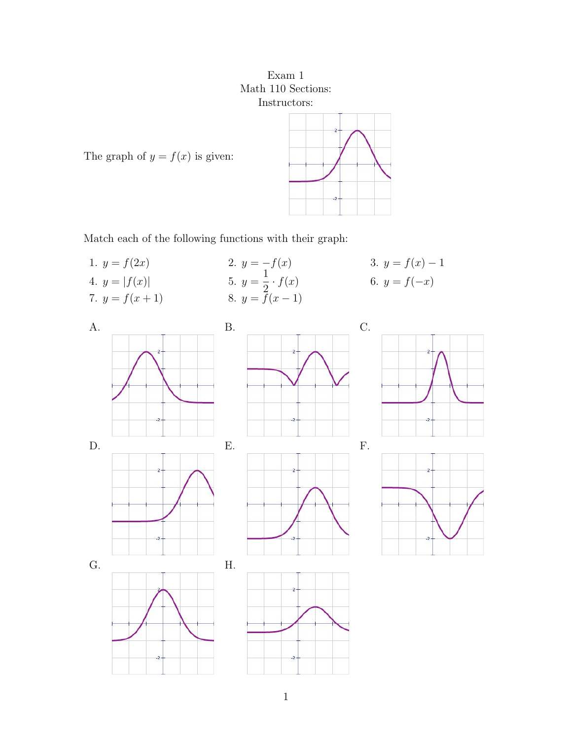Exam 1 Math 110 Sections: Instructors:



The graph of  $y = f(x)$  is given:

Match each of the following functions with their graph:

1.  $y = f(2x)$  2.  $y = -f(x)$  3.  $y = f(x) - 1$ 4.  $y = |f(x)|$  5.  $y = \frac{1}{2} \cdot f(x)$  6.  $y = f(-x)$ 7.  $y = f(x+1)$  8.  $y = f(x-1)$ A. B. C.

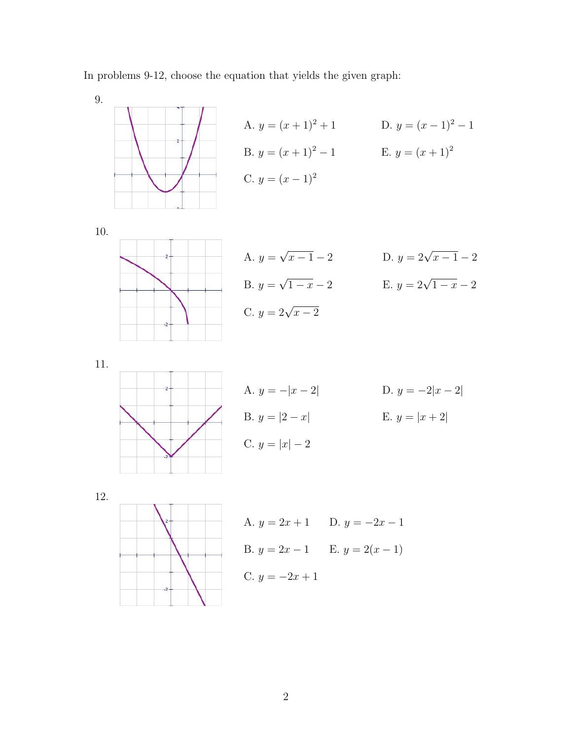In problems 9-12, choose the equation that yields the given graph:

9.  
\nA. 
$$
y = (x + 1)^2 + 1
$$
  
\nB.  $y = (x + 1)^2 - 1$   
\nC.  $y = (x - 1)^2$   
\nD.  $y = (x - 1)^2 - 1$   
\nE.  $y = (x + 1)^2$   
\nE.  $y = (x + 1)^2$   
\nD.  $y = 2\sqrt{x - 1} - 2$   
\nE.  $y = 2\sqrt{1 - x} - 2$   
\nE.  $y = 2\sqrt{1 - x} - 2$   
\nC.  $y = 2\sqrt{x - 2}$   
\nE.  $y = 2\sqrt{1 - x} - 2$   
\nE.  $y = -2|x - 2|$   
\nE.  $y = |x + 2|$   
\nE.  $y = |x + 2|$   
\nE.  $y = |x + 2|$ 

12.



A. 
$$
y = 2x + 1
$$
 D.  $y = -2x - 1$   
\nB.  $y = 2x - 1$  E.  $y = 2(x - 1)$   
\nC.  $y = -2x + 1$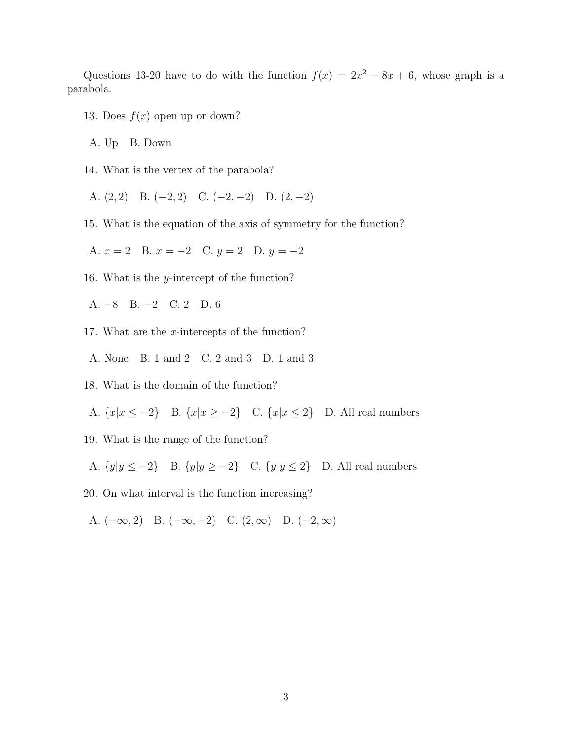Questions 13-20 have to do with the function  $f(x) = 2x^2 - 8x + 6$ , whose graph is a parabola.

13. Does  $f(x)$  open up or down?

A. Up B. Down

14. What is the vertex of the parabola?

A. (2*,* 2) B. (−2*,* 2) C. (−2*,* −2) D. (2*,* −2)

15. What is the equation of the axis of symmetry for the function?

A.  $x = 2$  B.  $x = -2$  C.  $y = 2$  D.  $y = -2$ 

16. What is the *y*-intercept of the function?

A. −8 B. −2 C. 2 D. 6

- 17. What are the *x* -intercepts of the function?
- A. None B. 1 and 2 C. 2 and 3 D. 1 and 3
- 18. What is the domain of the function?

A.  ${x|x \le -2}$  B.  ${x|x \ge -2}$  C.  ${x|x \le 2}$  D. All real numbers

19. What is the range of the function?

A.  ${y|y \le -2}$  B.  ${y|y \ge -2}$  C.  ${y|y \le 2}$  D. All real numbers

20. On what interval is the function increasing?

A. (−∞*,* 2) B. (−∞*,* −2) C. (2*,*∞) D. (−2*,* ∞)